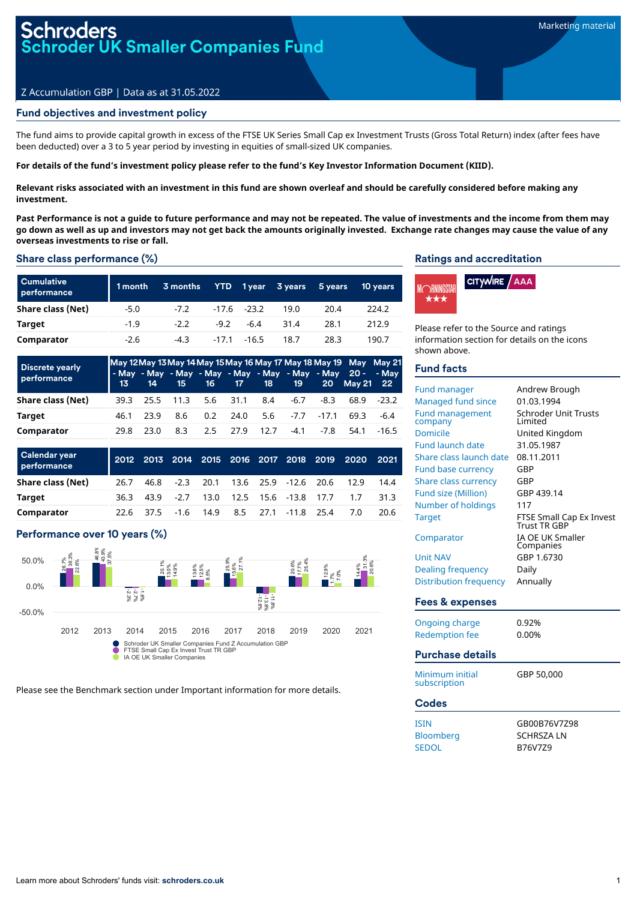# roders<br>oder UK Smaller Companies Fund

## Z Accumulation GBP | Data as at 31.05.2022

## Fund objectives and investment policy

The fund aims to provide capital growth in excess of the FTSE UK Series Small Cap ex Investment Trusts (Gross Total Return) index (after fees have been deducted) over a 3 to 5 year period by investing in equities of small-sized UK companies.

#### For details of the fund's investment policy please refer to the fund's Key Investor Information Document (KIID).

Relevant risks associated with an investment in this fund are shown overleaf and should be carefully considered before making any **investment.**

Past Performance is not a quide to future performance and may not be repeated. The value of investments and the income from them may go down as well as up and investors may not get back the amounts originally invested. Exchange rate changes may cause the value of any **overseas investments to rise or fall.**

#### Share class performance (%)

| <b>Cumulative</b><br>performance | 1 month | 3 months |      |                | YTD 1year 3 years | 5 years | <b>10 years</b> |
|----------------------------------|---------|----------|------|----------------|-------------------|---------|-----------------|
| Share class (Net)                | $-5.0$  | $-7.2$   |      | $-17.6 - 23.2$ | 19.0              | 20.4    | 224.2           |
| Target                           | $-1.9$  | $-2.2$   | -9.2 | -6.4           | 31.4              | 28.1    | 212.9           |
| Comparator                       | $-2.6$  | $-4.3$   |      | $-17.1 - 16.5$ | 18.7              | 28.3    | 190.7           |

| <b>Discrete yearly</b><br>performance |      | 13 14 |     |               |                             |      | 15 16 17 18 19            |             | May 12 May 13 May 14 May 15 May 16 May 17 May 18 May 19 May May 21<br>- May - May - May - May - May - May - May - May 20 - - May<br>20 May 21 22 |             |
|---------------------------------------|------|-------|-----|---------------|-----------------------------|------|---------------------------|-------------|--------------------------------------------------------------------------------------------------------------------------------------------------|-------------|
| Share class (Net)                     |      |       |     |               | 39.3 25.5 11.3 5.6 31.1 8.4 |      | -6.7                      | -8.3        |                                                                                                                                                  | 68.9 - 23.2 |
| <b>Target</b>                         | 46.1 | 23 Q  | 8.6 | $0.2^{\circ}$ | 24.0                        |      | $5.6$ $-7.7$ $-17.1$ 69.3 |             |                                                                                                                                                  | -6.4        |
| Comparator                            | 29 R | 23.0  | 8.3 | 2.5           | 27.9                        | 12.7 |                           | $-4.1 -7.8$ | 54.1                                                                                                                                             | $-16.5$     |

| <b>Calendar year</b><br>performance |      |           |  |  |                                     |                                | 2012 2013 2014 2015 2016 2017 2018 2019 2020 2021 |      |
|-------------------------------------|------|-----------|--|--|-------------------------------------|--------------------------------|---------------------------------------------------|------|
| Share class (Net)                   | 26.7 | 46.8      |  |  |                                     | -2.3 20.1 13.6 25.9 -12.6 20.6 | 12.9                                              | 14.4 |
| Target                              | 36.3 |           |  |  | 43.9 -2.7 13.0 12.5 15.6 -13.8 17.7 |                                | 17                                                | 31.3 |
| Comparator                          |      | 22.6 37.5 |  |  | $-1.6$ 14.9 8.5 27.1 $-11.8$ 25.4   |                                | 7.0                                               | 20.6 |

## Performance over 10 years (%)



Please see the Benchmark section under Important information for more details.

#### Ratings and accreditation



Please refer to the Source and ratings information section for details on the icons shown above.

### Fund facts

| <b>Fund manager</b><br><b>Managed fund since</b><br><b>Fund management</b><br>company<br>Domicile<br><b>Fund launch date</b><br>Share class launch date<br>Fund base currency<br><b>Share class currency</b><br><b>Fund size (Million)</b><br>Number of holdings<br><b>Target</b><br>Comparator<br><b>Unit NAV</b><br><b>Dealing frequency</b><br><b>Distribution frequency</b> | Andrew Brough<br>01.03.1994<br><b>Schroder Unit Trusts</b><br>Limited<br>United Kingdom<br>31.05.1987<br>08.11.2011<br>GBP<br>GBP<br>GBP 439.14<br>117<br>FTSE Small Cap Ex Invest<br>Trust TR GBP<br>IA OE UK Smaller<br>Companies<br>GBP 1.6730<br>Daily<br>Annually |
|---------------------------------------------------------------------------------------------------------------------------------------------------------------------------------------------------------------------------------------------------------------------------------------------------------------------------------------------------------------------------------|------------------------------------------------------------------------------------------------------------------------------------------------------------------------------------------------------------------------------------------------------------------------|
| <b>Fees &amp; expenses</b>                                                                                                                                                                                                                                                                                                                                                      |                                                                                                                                                                                                                                                                        |
| Ongoing charge<br><b>Redemption fee</b><br>Purchase details                                                                                                                                                                                                                                                                                                                     | 0.92%<br>0.00%                                                                                                                                                                                                                                                         |
|                                                                                                                                                                                                                                                                                                                                                                                 |                                                                                                                                                                                                                                                                        |
| Minimum initial<br>subscription                                                                                                                                                                                                                                                                                                                                                 | GBP 50,000                                                                                                                                                                                                                                                             |
| <b>Codes</b>                                                                                                                                                                                                                                                                                                                                                                    |                                                                                                                                                                                                                                                                        |
| <b>ISIN</b><br>Bloomberg<br><b>SEDOL</b>                                                                                                                                                                                                                                                                                                                                        | GB00B76V7Z98<br><b>SCHRSZALN</b><br>B76V779                                                                                                                                                                                                                            |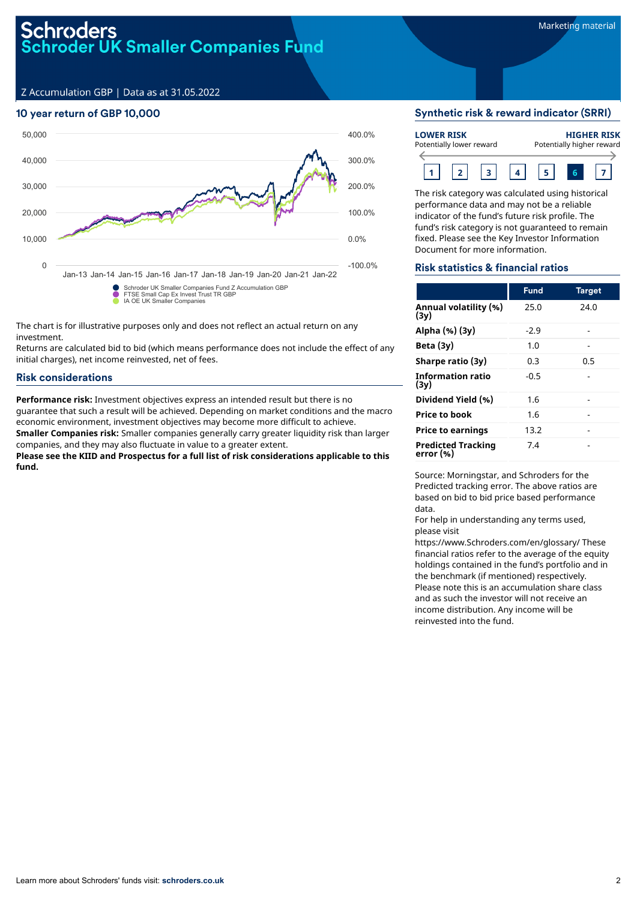## Schroders<br>Schroder UK Smaller Companies Fund

Z Accumulation GBP | Data as at 31.05.2022

## 10 year return of GBP 10,000



The chart is for illustrative purposes only and does not reflect an actual return on any investment.

Returns are calculated bid to bid (which means performance does not include the effect of any initial charges), net income reinvested, net of fees.

#### Risk considerations

**Performance risk:** Investment objectives express an intended result but there is no guarantee that such a result will be achieved. Depending on market conditions and the macro economic environment, investment objectives may become more difficult to achieve. **Smaller Companies risk:** Smaller companies generally carry greater liquidity risk than larger

companies, and they may also fluctuate in value to a greater extent. **Please see the KIID and Prospectus for a full list of risk considerations applicable to this fund.**

#### Synthetic risk & reward indicator (SRRI)

| <b>LOWER RISK</b> |  | Potentially lower reward |  | <b>HIGHER RISK</b><br>Potentially higher reward |
|-------------------|--|--------------------------|--|-------------------------------------------------|
|                   |  |                          |  |                                                 |

The risk category was calculated using historical performance data and may not be a reliable indicator of the fund's future risk profile. The fund's risk category is not guaranteed to remain fixed. Please see the Key Investor Information Document for more information.

### Risk statistics & financial ratios

|                                        | <b>Fund</b> | <b>Target</b> |
|----------------------------------------|-------------|---------------|
| Annual volatility (%)<br>(3v)          | 25.0        | 24.0          |
| Alpha (%) (3y)                         | $-2.9$      |               |
| Beta $(3y)$                            | 1.0         |               |
| Sharpe ratio (3y)                      | 0.3         | 0.5           |
| <b>Information ratio</b><br>(3v)       | $-0.5$      |               |
| Dividend Yield (%)                     | 1.6         |               |
| <b>Price to book</b>                   | 1.6         |               |
| <b>Price to earnings</b>               | 13.2        |               |
| <b>Predicted Tracking</b><br>error (%) | 7.4         |               |

Source: Morningstar, and Schroders for the Predicted tracking error. The above ratios are based on bid to bid price based performance data.

For help in understanding any terms used, please visit

https://www.Schroders.com/en/glossary/ These financial ratios refer to the average of the equity holdings contained in the fund's portfolio and in the benchmark (if mentioned) respectively. Please note this is an accumulation share class and as such the investor will not receive an income distribution. Any income will be reinvested into the fund.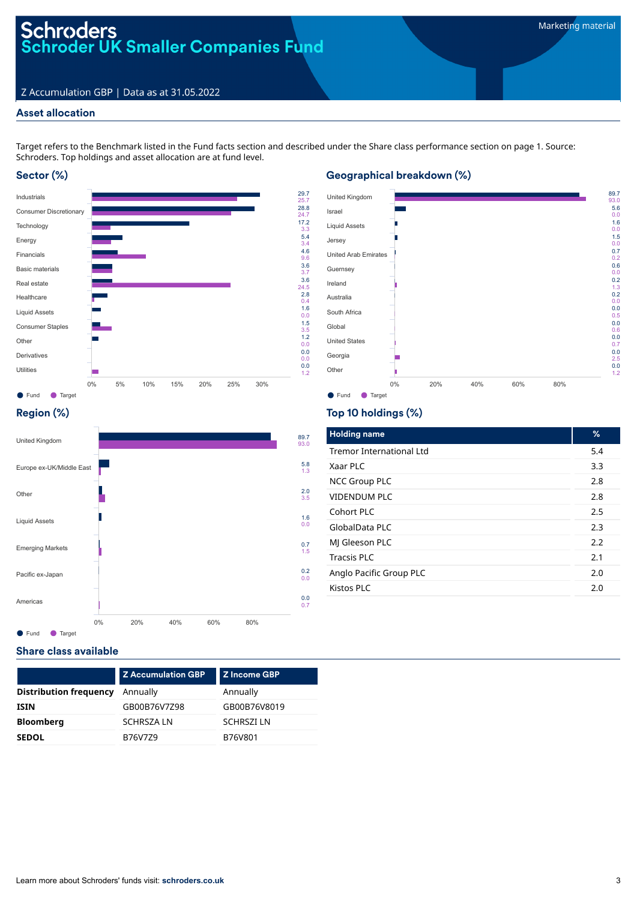## Schroders<br>Schroder UK Smaller Companies Fund

## Z Accumulation GBP | Data as at 31.05.2022

## Asset allocation

Target refers to the Benchmark listed in the Fund facts section and described under the Share class performance section on page 1. Source: Schroders. Top holdings and asset allocation are at fund level.

3.3 5.4 3.4 4.6 9.6 3.6

3.7 3.6

0.4 1.6 0.0

1.5 3.5 1.2 0.0

0.0 0.0 0.0 1.2

## Sector (%)



## Geographical breakdown (%)



## Region (%)



## Top 10 holdings (%)

| <b>Holding name</b>             | %   |
|---------------------------------|-----|
| <b>Tremor International Ltd</b> | 5.4 |
| Xaar PLC                        | 3.3 |
| <b>NCC Group PLC</b>            | 2.8 |
| VIDENDUM PLC                    | 2.8 |
| Cohort PLC                      | 2.5 |
| GlobalData PLC                  | 2.3 |
| MJ Gleeson PLC                  | 2.2 |
| <b>Tracsis PLC</b>              | 2.1 |
| Anglo Pacific Group PLC         | 2.0 |
| Kistos PLC                      | 2.0 |
|                                 |     |

## Share class available

|                               | <b>Z Accumulation GBP</b> | <b>Z</b> Income GBP |
|-------------------------------|---------------------------|---------------------|
| <b>Distribution frequency</b> | Annually                  | Annually            |
| <b>ISIN</b>                   | GB00B76V7Z98              | GB00B76V8019        |
| <b>Bloomberg</b>              | <b>SCHRSZALN</b>          | <b>SCHRSZILN</b>    |
| <b>SEDOL</b>                  | B76V7Z9                   | B76V801             |